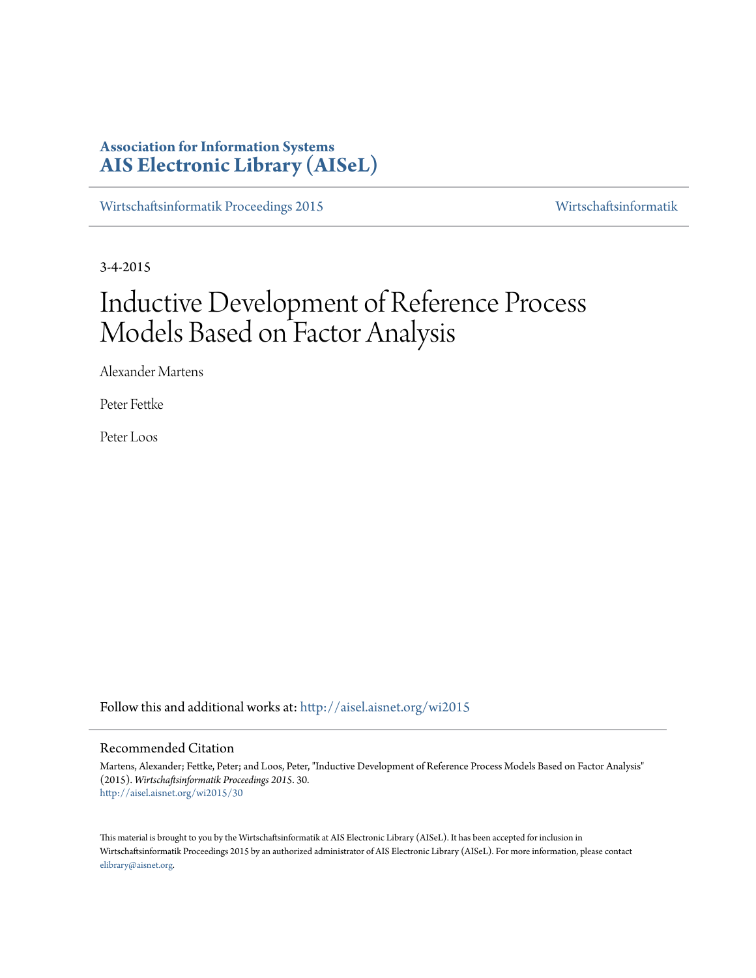# **Association for Information Systems [AIS Electronic Library \(AISeL\)](http://aisel.aisnet.org?utm_source=aisel.aisnet.org%2Fwi2015%2F30&utm_medium=PDF&utm_campaign=PDFCoverPages)**

[Wirtschaftsinformatik Proceedings 2015](http://aisel.aisnet.org/wi2015?utm_source=aisel.aisnet.org%2Fwi2015%2F30&utm_medium=PDF&utm_campaign=PDFCoverPages) [Wirtschaftsinformatik](http://aisel.aisnet.org/wi?utm_source=aisel.aisnet.org%2Fwi2015%2F30&utm_medium=PDF&utm_campaign=PDFCoverPages)

3-4-2015

# Inductive Development of Reference Process Models Based on Factor Analysis

Alexander Martens

Peter Fettke

Peter Loos

Follow this and additional works at: [http://aisel.aisnet.org/wi2015](http://aisel.aisnet.org/wi2015?utm_source=aisel.aisnet.org%2Fwi2015%2F30&utm_medium=PDF&utm_campaign=PDFCoverPages)

# Recommended Citation

Martens, Alexander; Fettke, Peter; and Loos, Peter, "Inductive Development of Reference Process Models Based on Factor Analysis" (2015). *Wirtschaftsinformatik Proceedings 2015*. 30. [http://aisel.aisnet.org/wi2015/30](http://aisel.aisnet.org/wi2015/30?utm_source=aisel.aisnet.org%2Fwi2015%2F30&utm_medium=PDF&utm_campaign=PDFCoverPages)

This material is brought to you by the Wirtschaftsinformatik at AIS Electronic Library (AISeL). It has been accepted for inclusion in Wirtschaftsinformatik Proceedings 2015 by an authorized administrator of AIS Electronic Library (AISeL). For more information, please contact [elibrary@aisnet.org.](mailto:elibrary@aisnet.org%3E)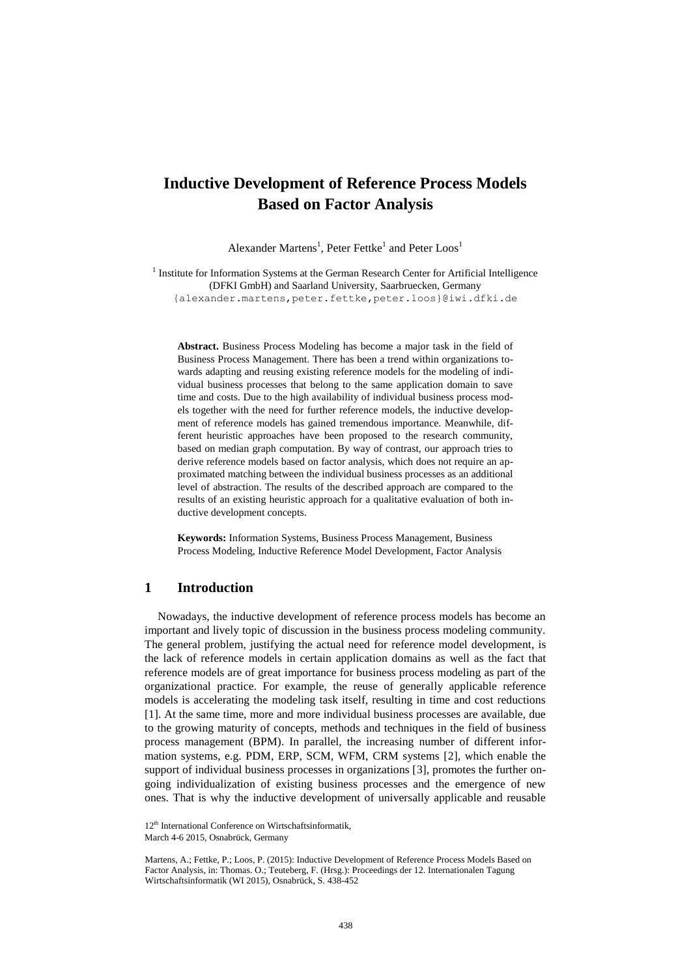# **Inductive Development of Reference Process Models Based on Factor Analysis**

Alexander Martens<sup>1</sup>, Peter Fettke<sup>1</sup> and Peter Loos<sup>1</sup>

<sup>1</sup> Institute for Information Systems at the German Research Center for Artificial Intelligence (DFKI GmbH) and Saarland University, Saarbruecken, Germany {alexander.martens,peter.fettke,peter.loos}@iwi.dfki.de

**Abstract.** Business Process Modeling has become a major task in the field of Business Process Management. There has been a trend within organizations towards adapting and reusing existing reference models for the modeling of individual business processes that belong to the same application domain to save time and costs. Due to the high availability of individual business process models together with the need for further reference models, the inductive development of reference models has gained tremendous importance. Meanwhile, different heuristic approaches have been proposed to the research community, based on median graph computation. By way of contrast, our approach tries to derive reference models based on factor analysis, which does not require an approximated matching between the individual business processes as an additional level of abstraction. The results of the described approach are compared to the results of an existing heuristic approach for a qualitative evaluation of both inductive development concepts.

**Keywords:** Information Systems, Business Process Management, Business Process Modeling, Inductive Reference Model Development, Factor Analysis

## **1 Introduction**

Nowadays, the inductive development of reference process models has become an important and lively topic of discussion in the business process modeling community. The general problem, justifying the actual need for reference model development, is the lack of reference models in certain application domains as well as the fact that reference models are of great importance for business process modeling as part of the organizational practice. For example, the reuse of generally applicable reference models is accelerating the modeling task itself, resulting in time and cost reductions [\[1\]](#page-14-0). At the same time, more and more individual business processes are available, due to the growing maturity of concepts, methods and techniques in the field of business process management (BPM). In parallel, the increasing number of different information systems, e.g. PDM, ERP, SCM, WFM, CRM systems [\[2\]](#page-14-1), which enable the support of individual business processes in organizations [\[3\]](#page-14-2), promotes the further ongoing individualization of existing business processes and the emergence of new ones. That is why the inductive development of universally applicable and reusable

Martens, A.; Fettke, P.; Loos, P. (2015): Inductive Development of Reference Process Models Based on Factor Analysis, in: Thomas. O.; Teuteberg, F. (Hrsg.): Proceedings der 12. Internationalen Tagung Wirtschaftsinformatik (WI 2015), Osnabrück, S. 438-452

<sup>12&</sup>lt;sup>th</sup> International Conference on Wirtschaftsinformatik,

March 4-6 2015, Osnabrück, Germany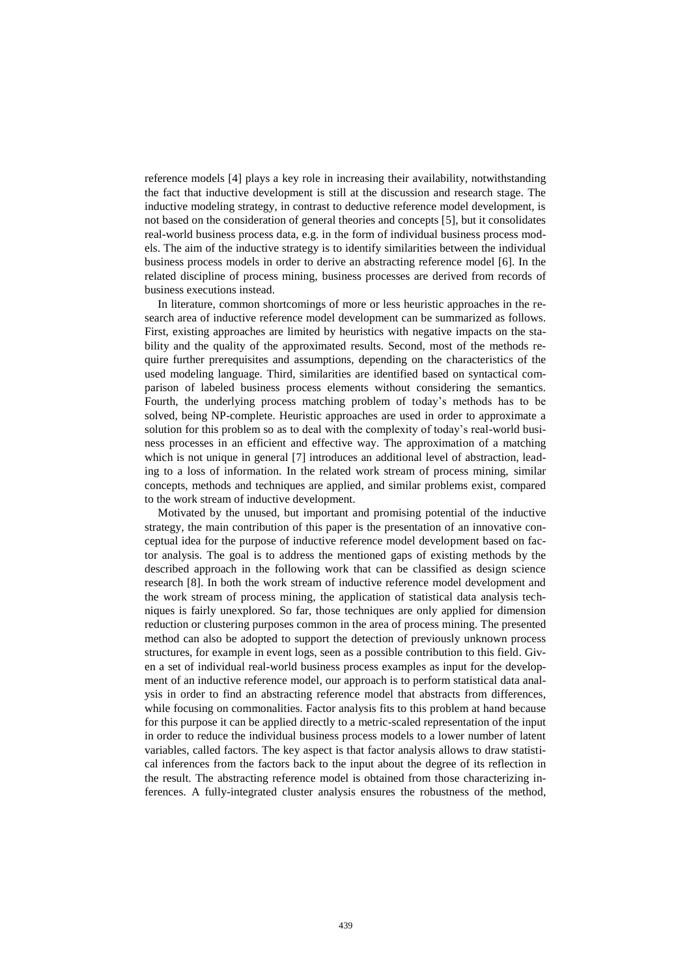reference models [\[4\]](#page-14-3) plays a key role in increasing their availability, notwithstanding the fact that inductive development is still at the discussion and research stage. The inductive modeling strategy, in contrast to deductive reference model development, is not based on the consideration of general theories and concepts [\[5\]](#page-14-4), but it consolidates real-world business process data, e.g. in the form of individual business process models. The aim of the inductive strategy is to identify similarities between the individual business process models in order to derive an abstracting reference model [\[6\]](#page-14-5). In the related discipline of process mining, business processes are derived from records of business executions instead.

In literature, common shortcomings of more or less heuristic approaches in the research area of inductive reference model development can be summarized as follows. First, existing approaches are limited by heuristics with negative impacts on the stability and the quality of the approximated results. Second, most of the methods require further prerequisites and assumptions, depending on the characteristics of the used modeling language. Third, similarities are identified based on syntactical comparison of labeled business process elements without considering the semantics. Fourth, the underlying process matching problem of today's methods has to be solved, being NP-complete. Heuristic approaches are used in order to approximate a solution for this problem so as to deal with the complexity of today's real-world business processes in an efficient and effective way. The approximation of a matching which is not unique in general [\[7\]](#page-14-6) introduces an additional level of abstraction, leading to a loss of information. In the related work stream of process mining, similar concepts, methods and techniques are applied, and similar problems exist, compared to the work stream of inductive development.

Motivated by the unused, but important and promising potential of the inductive strategy, the main contribution of this paper is the presentation of an innovative conceptual idea for the purpose of inductive reference model development based on factor analysis. The goal is to address the mentioned gaps of existing methods by the described approach in the following work that can be classified as design science research [\[8\]](#page-14-7). In both the work stream of inductive reference model development and the work stream of process mining, the application of statistical data analysis techniques is fairly unexplored. So far, those techniques are only applied for dimension reduction or clustering purposes common in the area of process mining. The presented method can also be adopted to support the detection of previously unknown process structures, for example in event logs, seen as a possible contribution to this field. Given a set of individual real-world business process examples as input for the development of an inductive reference model, our approach is to perform statistical data analysis in order to find an abstracting reference model that abstracts from differences, while focusing on commonalities. Factor analysis fits to this problem at hand because for this purpose it can be applied directly to a metric-scaled representation of the input in order to reduce the individual business process models to a lower number of latent variables, called factors. The key aspect is that factor analysis allows to draw statistical inferences from the factors back to the input about the degree of its reflection in the result. The abstracting reference model is obtained from those characterizing inferences. A fully-integrated cluster analysis ensures the robustness of the method,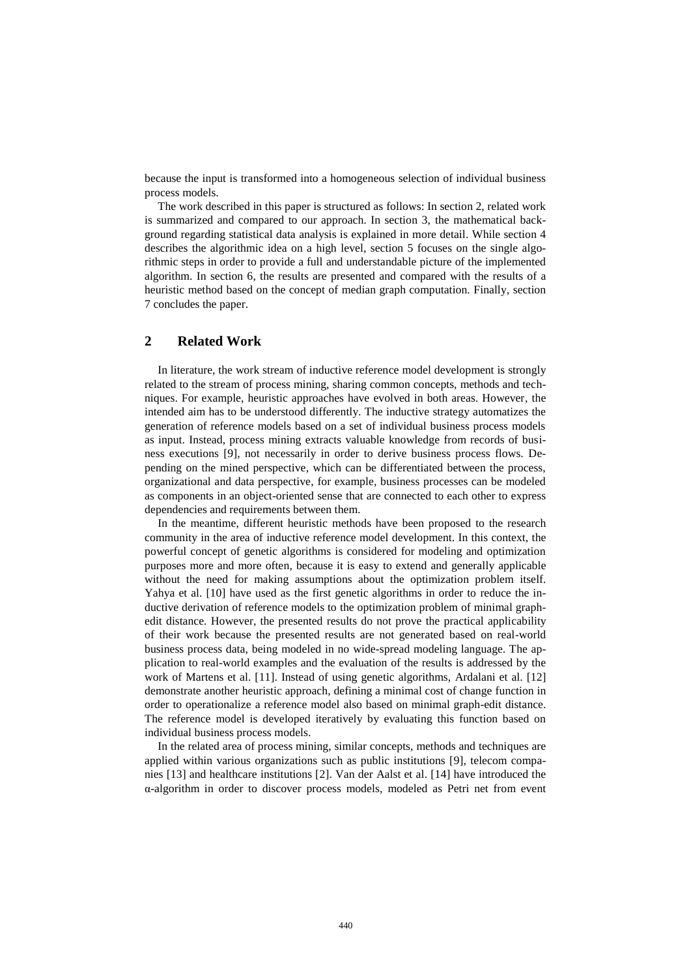because the input is transformed into a homogeneous selection of individual business process models.

The work described in this paper is structured as follows: In section 2, related work is summarized and compared to our approach. In section 3, the mathematical background regarding statistical data analysis is explained in more detail. While section 4 describes the algorithmic idea on a high level, section 5 focuses on the single algorithmic steps in order to provide a full and understandable picture of the implemented algorithm. In section 6, the results are presented and compared with the results of a heuristic method based on the concept of median graph computation. Finally, section 7 concludes the paper.

# **2 Related Work**

In literature, the work stream of inductive reference model development is strongly related to the stream of process mining, sharing common concepts, methods and techniques. For example, heuristic approaches have evolved in both areas. However, the intended aim has to be understood differently. The inductive strategy automatizes the generation of reference models based on a set of individual business process models as input. Instead, process mining extracts valuable knowledge from records of business executions [\[9\]](#page-14-8), not necessarily in order to derive business process flows. Depending on the mined perspective, which can be differentiated between the process, organizational and data perspective, for example, business processes can be modeled as components in an object-oriented sense that are connected to each other to express dependencies and requirements between them.

In the meantime, different heuristic methods have been proposed to the research community in the area of inductive reference model development. In this context, the powerful concept of genetic algorithms is considered for modeling and optimization purposes more and more often, because it is easy to extend and generally applicable without the need for making assumptions about the optimization problem itself. Yahya et al. [\[10\]](#page-14-9) have used as the first genetic algorithms in order to reduce the inductive derivation of reference models to the optimization problem of minimal graphedit distance. However, the presented results do not prove the practical applicability of their work because the presented results are not generated based on real-world business process data, being modeled in no wide-spread modeling language. The application to real-world examples and the evaluation of the results is addressed by the work of Martens et al. [\[11\]](#page-14-10). Instead of using genetic algorithms, Ardalani et al. [\[12\]](#page-14-11) demonstrate another heuristic approach, defining a minimal cost of change function in order to operationalize a reference model also based on minimal graph-edit distance. The reference model is developed iteratively by evaluating this function based on individual business process models.

In the related area of process mining, similar concepts, methods and techniques are applied within various organizations such as public institutions [\[9\]](#page-14-8), telecom companies [\[13\]](#page-15-0) and healthcare institutions [\[2\]](#page-14-1). Van der Aalst et al. [\[14\]](#page-15-1) have introduced the α-algorithm in order to discover process models, modeled as Petri net from event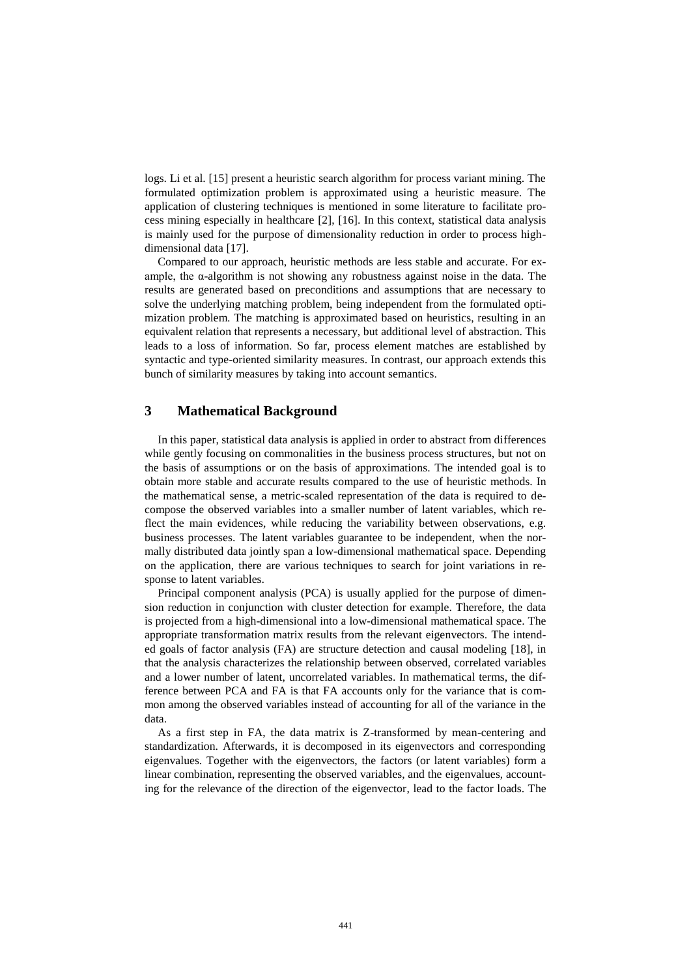logs. Li et al. [\[15\]](#page-15-2) present a heuristic search algorithm for process variant mining. The formulated optimization problem is approximated using a heuristic measure. The application of clustering techniques is mentioned in some literature to facilitate process mining especially in healthcare [\[2\]](#page-14-1), [\[16\]](#page-15-3). In this context, statistical data analysis is mainly used for the purpose of dimensionality reduction in order to process highdimensional data [\[17\]](#page-15-4).

Compared to our approach, heuristic methods are less stable and accurate. For example, the  $\alpha$ -algorithm is not showing any robustness against noise in the data. The results are generated based on preconditions and assumptions that are necessary to solve the underlying matching problem, being independent from the formulated optimization problem. The matching is approximated based on heuristics, resulting in an equivalent relation that represents a necessary, but additional level of abstraction. This leads to a loss of information. So far, process element matches are established by syntactic and type-oriented similarity measures. In contrast, our approach extends this bunch of similarity measures by taking into account semantics.

## **3 Mathematical Background**

In this paper, statistical data analysis is applied in order to abstract from differences while gently focusing on commonalities in the business process structures, but not on the basis of assumptions or on the basis of approximations. The intended goal is to obtain more stable and accurate results compared to the use of heuristic methods. In the mathematical sense, a metric-scaled representation of the data is required to decompose the observed variables into a smaller number of latent variables, which reflect the main evidences, while reducing the variability between observations, e.g. business processes. The latent variables guarantee to be independent, when the normally distributed data jointly span a low-dimensional mathematical space. Depending on the application, there are various techniques to search for joint variations in response to latent variables.

Principal component analysis (PCA) is usually applied for the purpose of dimension reduction in conjunction with cluster detection for example. Therefore, the data is projected from a high-dimensional into a low-dimensional mathematical space. The appropriate transformation matrix results from the relevant eigenvectors. The intended goals of factor analysis (FA) are structure detection and causal modeling [\[18\]](#page-15-5), in that the analysis characterizes the relationship between observed, correlated variables and a lower number of latent, uncorrelated variables. In mathematical terms, the difference between PCA and FA is that FA accounts only for the variance that is common among the observed variables instead of accounting for all of the variance in the data.

As a first step in FA, the data matrix is Z-transformed by mean-centering and standardization. Afterwards, it is decomposed in its eigenvectors and corresponding eigenvalues. Together with the eigenvectors, the factors (or latent variables) form a linear combination, representing the observed variables, and the eigenvalues, accounting for the relevance of the direction of the eigenvector, lead to the factor loads. The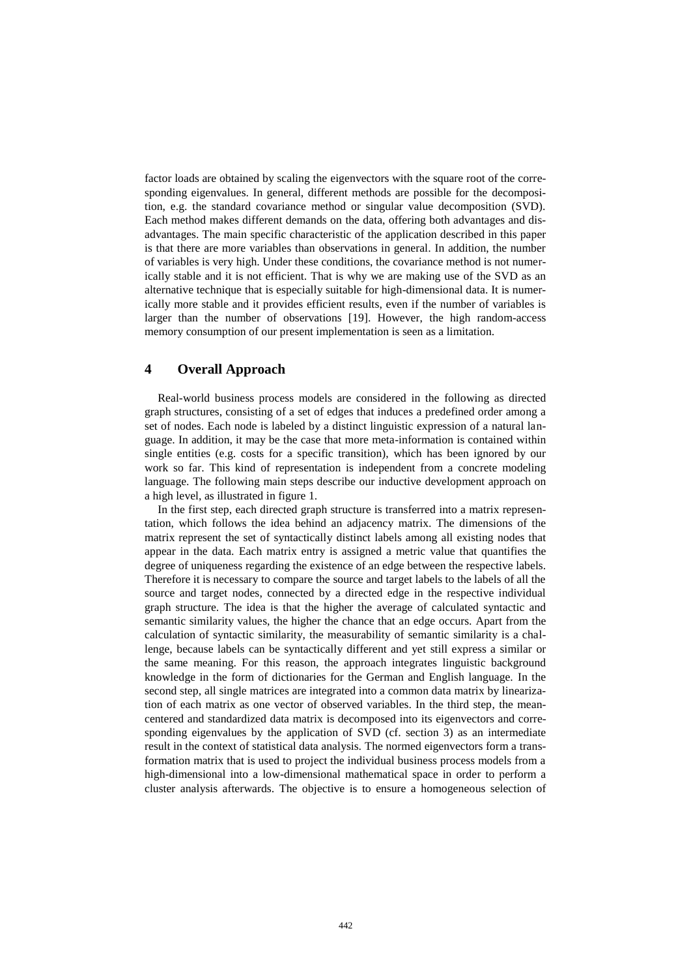factor loads are obtained by scaling the eigenvectors with the square root of the corresponding eigenvalues. In general, different methods are possible for the decomposition, e.g. the standard covariance method or singular value decomposition (SVD). Each method makes different demands on the data, offering both advantages and disadvantages. The main specific characteristic of the application described in this paper is that there are more variables than observations in general. In addition, the number of variables is very high. Under these conditions, the covariance method is not numerically stable and it is not efficient. That is why we are making use of the SVD as an alternative technique that is especially suitable for high-dimensional data. It is numerically more stable and it provides efficient results, even if the number of variables is larger than the number of observations [\[19\]](#page-15-6). However, the high random-access memory consumption of our present implementation is seen as a limitation.

# **4 Overall Approach**

Real-world business process models are considered in the following as directed graph structures, consisting of a set of edges that induces a predefined order among a set of nodes. Each node is labeled by a distinct linguistic expression of a natural language. In addition, it may be the case that more meta-information is contained within single entities (e.g. costs for a specific transition), which has been ignored by our work so far. This kind of representation is independent from a concrete modeling language. The following main steps describe our inductive development approach on a high level, as illustrated in figure 1.

In the first step, each directed graph structure is transferred into a matrix representation, which follows the idea behind an adjacency matrix. The dimensions of the matrix represent the set of syntactically distinct labels among all existing nodes that appear in the data. Each matrix entry is assigned a metric value that quantifies the degree of uniqueness regarding the existence of an edge between the respective labels. Therefore it is necessary to compare the source and target labels to the labels of all the source and target nodes, connected by a directed edge in the respective individual graph structure. The idea is that the higher the average of calculated syntactic and semantic similarity values, the higher the chance that an edge occurs. Apart from the calculation of syntactic similarity, the measurability of semantic similarity is a challenge, because labels can be syntactically different and yet still express a similar or the same meaning. For this reason, the approach integrates linguistic background knowledge in the form of dictionaries for the German and English language. In the second step, all single matrices are integrated into a common data matrix by linearization of each matrix as one vector of observed variables. In the third step, the meancentered and standardized data matrix is decomposed into its eigenvectors and corresponding eigenvalues by the application of SVD (cf. section 3) as an intermediate result in the context of statistical data analysis. The normed eigenvectors form a transformation matrix that is used to project the individual business process models from a high-dimensional into a low-dimensional mathematical space in order to perform a cluster analysis afterwards. The objective is to ensure a homogeneous selection of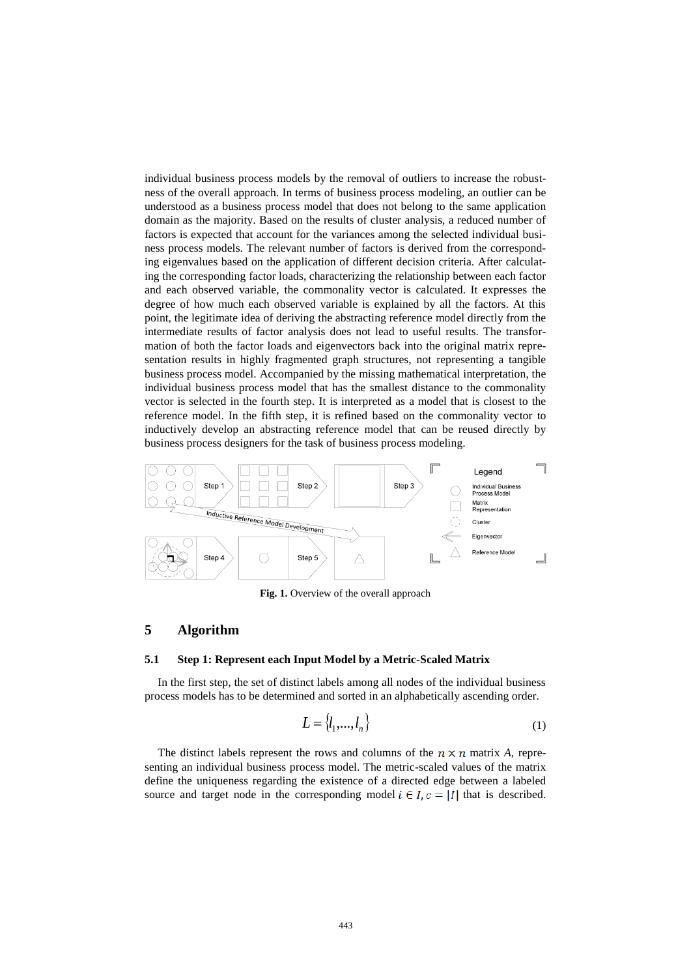individual business process models by the removal of outliers to increase the robustness of the overall approach. In terms of business process modeling, an outlier can be understood as a business process model that does not belong to the same application domain as the majority. Based on the results of cluster analysis, a reduced number of factors is expected that account for the variances among the selected individual business process models. The relevant number of factors is derived from the corresponding eigenvalues based on the application of different decision criteria. After calculating the corresponding factor loads, characterizing the relationship between each factor and each observed variable, the commonality vector is calculated. It expresses the degree of how much each observed variable is explained by all the factors. At this point, the legitimate idea of deriving the abstracting reference model directly from the intermediate results of factor analysis does not lead to useful results. The transformation of both the factor loads and eigenvectors back into the original matrix representation results in highly fragmented graph structures, not representing a tangible business process model. Accompanied by the missing mathematical interpretation, the individual business process model that has the smallest distance to the commonality vector is selected in the fourth step. It is interpreted as a model that is closest to the reference model. In the fifth step, it is refined based on the commonality vector to inductively develop an abstracting reference model that can be reused directly by business process designers for the task of business process modeling.



**Fig. 1.** Overview of the overall approach

# **5 Algorithm**

#### **5.1 Step 1: Represent each Input Model by a Metric-Scaled Matrix**

In the first step, the set of distinct labels among all nodes of the individual business process models has to be determined and sorted in an alphabetically ascending order.

$$
L = \{l_1, \ldots, l_n\} \tag{1}
$$

The distinct labels represent the rows and columns of the  $n \times n$  matrix A, representing an individual business process model. The metric-scaled values of the matrix define the uniqueness regarding the existence of a directed edge between a labeled source and target node in the corresponding model  $i \in I$ ,  $c = |I|$  that is described.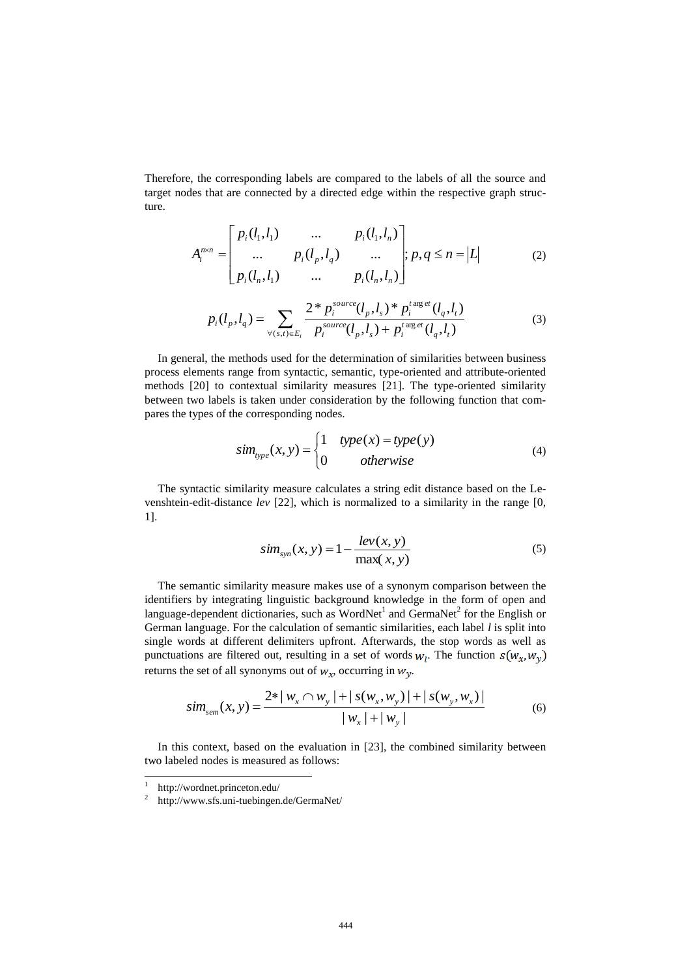Therefore, the corresponding labels are compared to the labels of all the source and target nodes that are connected by a directed edge within the respective graph structure.

$$
A_i^{n \times n} = \begin{bmatrix} p_i(l_1, l_1) & \dots & p_i(l_1, l_n) \\ \dots & p_i(l_p, l_q) & \dots \\ p_i(l_n, l_1) & \dots & p_i(l_n, l_n) \end{bmatrix}; p, q \le n = |L|
$$
 (2)

$$
p_i(l_p, l_q) = \sum_{\forall (s,t) \in E_i} \frac{2 \cdot p_i^{source}(l_p, l_s) \cdot p_i^{target}(l_q, l_t)}{p_i^{source}(l_p, l_s) + p_i^{target}(l_q, l_t)}
$$
(3)

In general, the methods used for the determination of similarities between business process elements range from syntactic, semantic, type-oriented and attribute-oriented methods [\[20\]](#page-15-7) to contextual similarity measures [\[21\]](#page-15-8). The type-oriented similarity between two labels is taken under consideration by the following function that compares the types of the corresponding nodes.

$$
sim_{type}(x, y) = \begin{cases} 1 & type(x) = type(y) \\ 0 & otherwise \end{cases}
$$
 (4)

The syntactic similarity measure calculates a string edit distance based on the Levenshtein-edit-distance *lev* [\[22\]](#page-15-9), which is normalized to a similarity in the range [0, 1].

$$
sim_{syn}(x, y) = 1 - \frac{lev(x, y)}{\max(x, y)}
$$
 (5)

The semantic similarity measure makes use of a synonym comparison between the identifiers by integrating linguistic background knowledge in the form of open and language-dependent dictionaries, such as WordNet<sup>1</sup> and GermaNet<sup>2</sup> for the English or German language. For the calculation of semantic similarities, each label *l* is split into single words at different delimiters upfront. Afterwards, the stop words as well as punctuations are filtered out, resulting in a set of words  $w_l$ . The function  $s(w_x, w_y)$ returns the set of all synonyms out of  $w_x$ , occurring in  $w_y$ .

$$
sim_{sem}(x, y) = \frac{2*|w_x \cap w_y| + |s(w_x, w_y)| + |s(w_y, w_x)|}{|w_x| + |w_y|}
$$
(6)

In this context, based on the evaluation in [\[23\]](#page-15-10), the combined similarity between two labeled nodes is measured as follows:

<sup>|&</sup>lt;br>|<br>| http://wordnet.princeton.edu/

<sup>2</sup> http://www.sfs.uni-tuebingen.de/GermaNet/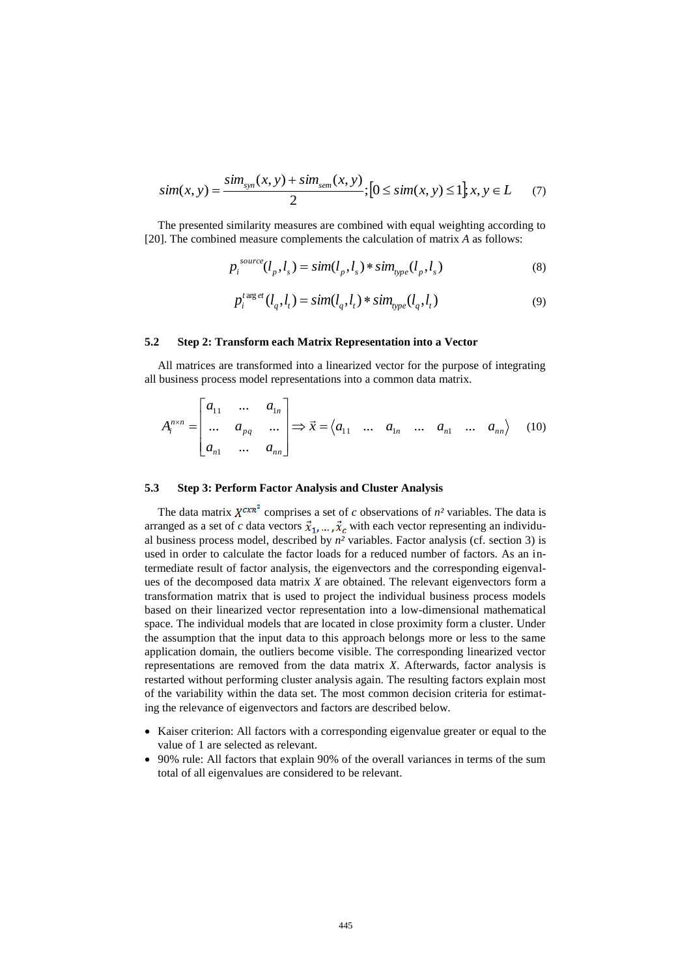$$
sim(x, y) = \frac{sim_{syn}(x, y) + sim_{sem}(x, y)}{2}; [0 \le sim(x, y) \le 1], x, y \in L
$$
 (7)

The presented similarity measures are combined with equal weighting according to [\[20\]](#page-15-7). The combined measure complements the calculation of matrix *A* as follows:

$$
p_i^{source}(l_p, l_s) = sim(l_p, l_s) * sim_{type}(l_p, l_s)
$$
\n(8)

$$
p_i^{t \arg et}(l_q, l_t) = \text{sim}(l_q, l_t) * \text{sim}_{type}(l_q, l_t)
$$
\n<sup>(9)</sup>

#### **5.2 Step 2: Transform each Matrix Representation into a Vector**

All matrices are transformed into a linearized vector for the purpose of integrating all business process model representations into a common data matrix.

$$
A_i^{n \times n} = \begin{bmatrix} a_{11} & \dots & a_{1n} \\ \dots & a_{pq} & \dots \\ a_{n1} & \dots & a_{nn} \end{bmatrix} \Rightarrow \vec{x} = \langle a_{11} & \dots & a_{1n} & \dots & a_{n1} & \dots & a_{nn} \rangle \tag{10}
$$

#### **5.3 Step 3: Perform Factor Analysis and Cluster Analysis**

The data matrix  $X^{c x n^2}$  comprises a set of *c* observations of  $n^2$  variables. The data is arranged as a set of *c* data vectors  $\vec{x}_1, \dots, \vec{x}_c$  with each vector representing an individual business process model, described by *n²* variables. Factor analysis (cf. section 3) is used in order to calculate the factor loads for a reduced number of factors. As an intermediate result of factor analysis, the eigenvectors and the corresponding eigenvalues of the decomposed data matrix *X* are obtained. The relevant eigenvectors form a transformation matrix that is used to project the individual business process models based on their linearized vector representation into a low-dimensional mathematical space. The individual models that are located in close proximity form a cluster. Under the assumption that the input data to this approach belongs more or less to the same application domain, the outliers become visible. The corresponding linearized vector representations are removed from the data matrix *X*. Afterwards, factor analysis is restarted without performing cluster analysis again. The resulting factors explain most of the variability within the data set. The most common decision criteria for estimating the relevance of eigenvectors and factors are described below.

- Kaiser criterion: All factors with a corresponding eigenvalue greater or equal to the value of 1 are selected as relevant.
- 90% rule: All factors that explain 90% of the overall variances in terms of the sum total of all eigenvalues are considered to be relevant.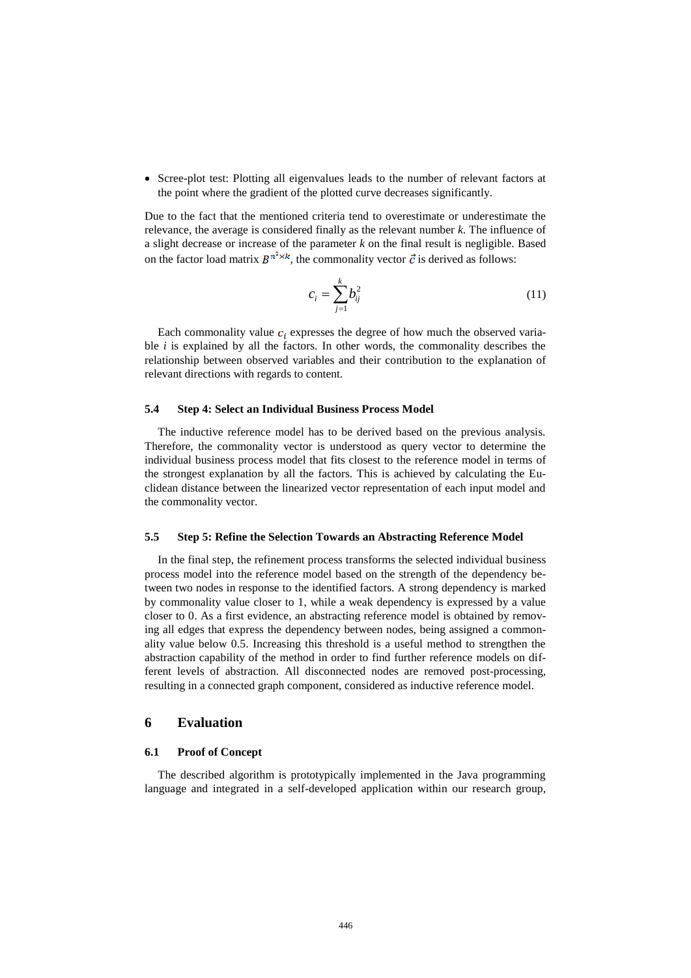Scree-plot test: Plotting all eigenvalues leads to the number of relevant factors at the point where the gradient of the plotted curve decreases significantly.

Due to the fact that the mentioned criteria tend to overestimate or underestimate the relevance, the average is considered finally as the relevant number *k*. The influence of a slight decrease or increase of the parameter *k* on the final result is negligible. Based on the factor load matrix  $B^{n^2 \times k}$ , the commonality vector  $\vec{c}$  is derived as follows:

$$
c_i = \sum_{j=1}^{k} b_{ij}^2
$$
 (11)

Each commonality value  $c_i$  expresses the degree of how much the observed variable *i* is explained by all the factors. In other words, the commonality describes the relationship between observed variables and their contribution to the explanation of relevant directions with regards to content.

#### **5.4 Step 4: Select an Individual Business Process Model**

The inductive reference model has to be derived based on the previous analysis. Therefore, the commonality vector is understood as query vector to determine the individual business process model that fits closest to the reference model in terms of the strongest explanation by all the factors. This is achieved by calculating the Euclidean distance between the linearized vector representation of each input model and the commonality vector.

#### **5.5 Step 5: Refine the Selection Towards an Abstracting Reference Model**

In the final step, the refinement process transforms the selected individual business process model into the reference model based on the strength of the dependency between two nodes in response to the identified factors. A strong dependency is marked by commonality value closer to 1, while a weak dependency is expressed by a value closer to 0. As a first evidence, an abstracting reference model is obtained by removing all edges that express the dependency between nodes, being assigned a commonality value below 0.5. Increasing this threshold is a useful method to strengthen the abstraction capability of the method in order to find further reference models on different levels of abstraction. All disconnected nodes are removed post-processing, resulting in a connected graph component, considered as inductive reference model.

#### **6 Evaluation**

#### **6.1 Proof of Concept**

The described algorithm is prototypically implemented in the Java programming language and integrated in a self-developed application within our research group,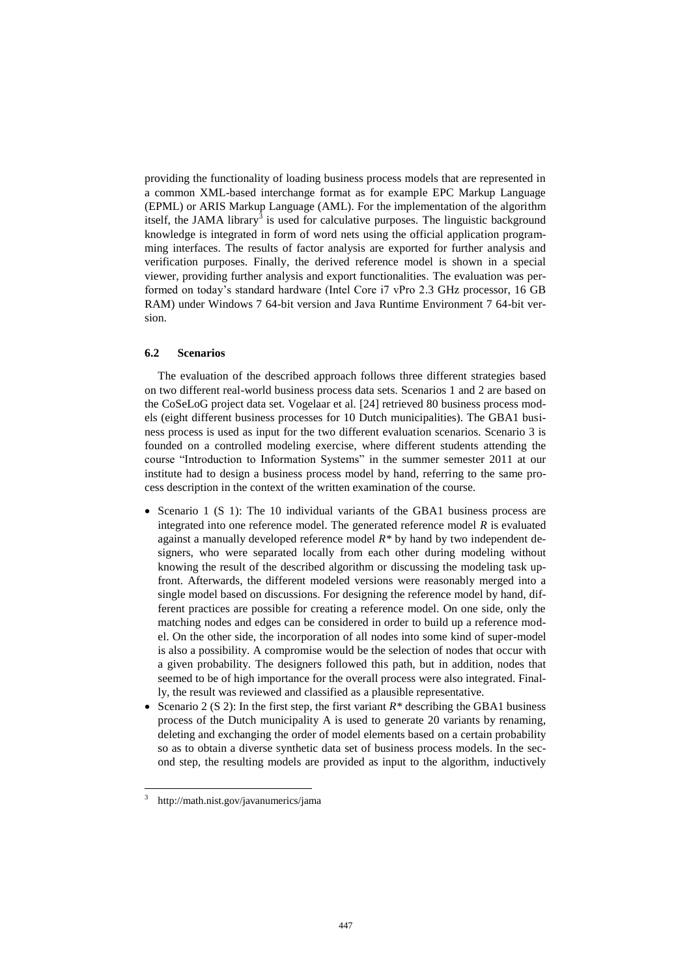providing the functionality of loading business process models that are represented in a common XML-based interchange format as for example EPC Markup Language (EPML) or ARIS Markup Language (AML). For the implementation of the algorithm itself, the JAMA library $^{\overline{3}}$  is used for calculative purposes. The linguistic background knowledge is integrated in form of word nets using the official application programming interfaces. The results of factor analysis are exported for further analysis and verification purposes. Finally, the derived reference model is shown in a special viewer, providing further analysis and export functionalities. The evaluation was performed on today's standard hardware (Intel Core i7 vPro 2.3 GHz processor, 16 GB RAM) under Windows 7 64-bit version and Java Runtime Environment 7 64-bit version.

### **6.2 Scenarios**

The evaluation of the described approach follows three different strategies based on two different real-world business process data sets. Scenarios 1 and 2 are based on the CoSeLoG project data set. Vogelaar et al. [\[24\]](#page-15-11) retrieved 80 business process models (eight different business processes for 10 Dutch municipalities). The GBA1 business process is used as input for the two different evaluation scenarios. Scenario 3 is founded on a controlled modeling exercise, where different students attending the course "Introduction to Information Systems" in the summer semester 2011 at our institute had to design a business process model by hand, referring to the same process description in the context of the written examination of the course.

- Scenario 1 (S 1): The 10 individual variants of the GBA1 business process are integrated into one reference model. The generated reference model *R* is evaluated against a manually developed reference model *R\** by hand by two independent designers, who were separated locally from each other during modeling without knowing the result of the described algorithm or discussing the modeling task upfront. Afterwards, the different modeled versions were reasonably merged into a single model based on discussions. For designing the reference model by hand, different practices are possible for creating a reference model. On one side, only the matching nodes and edges can be considered in order to build up a reference model. On the other side, the incorporation of all nodes into some kind of super-model is also a possibility. A compromise would be the selection of nodes that occur with a given probability. The designers followed this path, but in addition, nodes that seemed to be of high importance for the overall process were also integrated. Finally, the result was reviewed and classified as a plausible representative.
- Scenario 2 (S 2): In the first step, the first variant  $R^*$  describing the GBA1 business process of the Dutch municipality A is used to generate 20 variants by renaming, deleting and exchanging the order of model elements based on a certain probability so as to obtain a diverse synthetic data set of business process models. In the second step, the resulting models are provided as input to the algorithm, inductively

 $\overline{a}$ 

<sup>3</sup> http://math.nist.gov/javanumerics/jama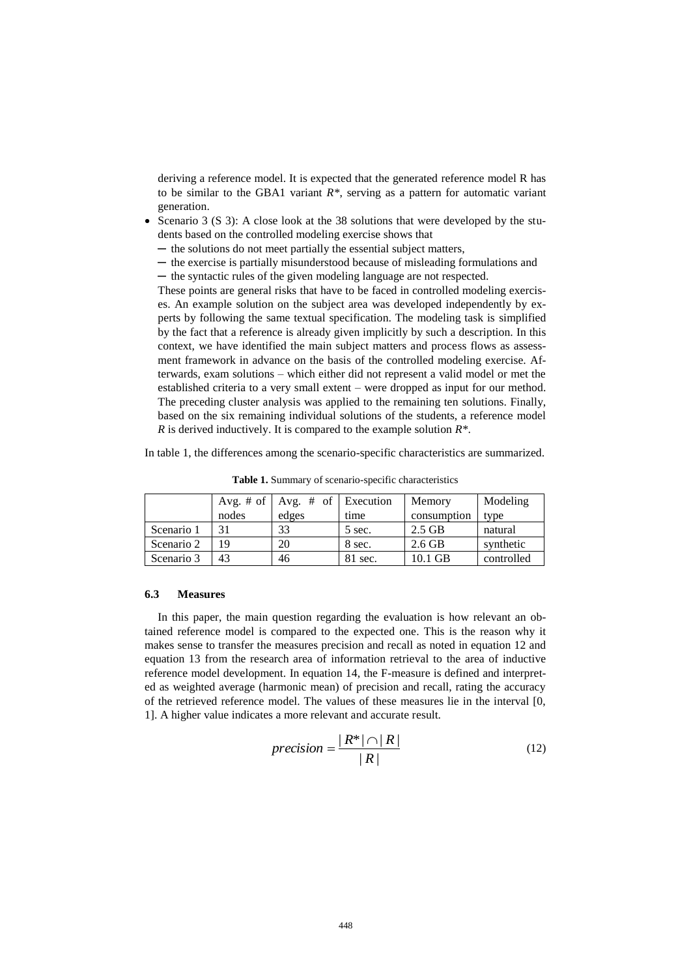deriving a reference model. It is expected that the generated reference model R has to be similar to the GBA1 variant *R\**, serving as a pattern for automatic variant generation.

- Scenario 3 (S 3): A close look at the 38 solutions that were developed by the students based on the controlled modeling exercise shows that
- ─ the solutions do not meet partially the essential subject matters,
- ─ the exercise is partially misunderstood because of misleading formulations and
- ─ the syntactic rules of the given modeling language are not respected.

These points are general risks that have to be faced in controlled modeling exercises. An example solution on the subject area was developed independently by experts by following the same textual specification. The modeling task is simplified by the fact that a reference is already given implicitly by such a description. In this context, we have identified the main subject matters and process flows as assessment framework in advance on the basis of the controlled modeling exercise. Afterwards, exam solutions – which either did not represent a valid model or met the established criteria to a very small extent – were dropped as input for our method. The preceding cluster analysis was applied to the remaining ten solutions. Finally, based on the six remaining individual solutions of the students, a reference model *R* is derived inductively. It is compared to the example solution *R\**.

In table 1, the differences among the scenario-specific characteristics are summarized.

|            |       | Avg. # of $\vert$ Avg. # of $\vert$ Execution |         | Memory      | Modeling   |
|------------|-------|-----------------------------------------------|---------|-------------|------------|
|            | nodes | edges                                         | time    | consumption | type       |
| Scenario 1 |       | 33                                            | 5 sec.  | $2.5$ GB    | natural    |
| Scenario 2 | 19    | 20                                            | 8 sec.  | $2.6$ GB    | synthetic  |
| Scenario 3 | 43    | 46                                            | 81 sec. | $10.1$ GB   | controlled |

**Table 1.** Summary of scenario-specific characteristics

#### **6.3 Measures**

In this paper, the main question regarding the evaluation is how relevant an obtained reference model is compared to the expected one. This is the reason why it makes sense to transfer the measures precision and recall as noted in equation 12 and equation 13 from the research area of information retrieval to the area of inductive reference model development. In equation 14, the F-measure is defined and interpreted as weighted average (harmonic mean) of precision and recall, rating the accuracy of the retrieved reference model. The values of these measures lie in the interval [0, 1]. A higher value indicates a more relevant and accurate result.

$$
precision = \frac{|R^*| \cap |R|}{|R|} \tag{12}
$$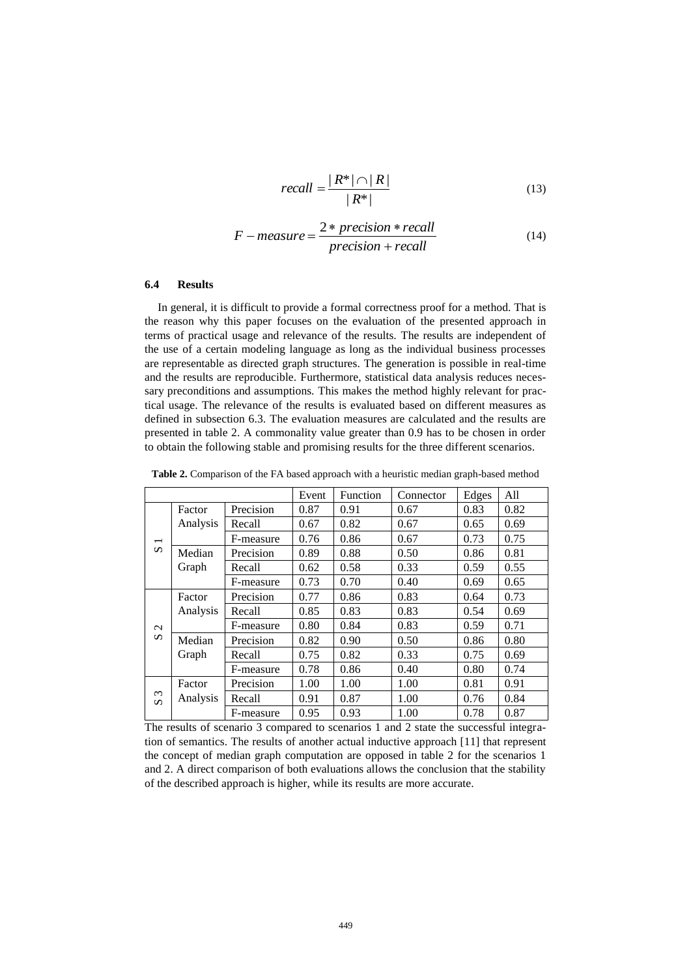$$
recall = \frac{|R^*| \cap |R|}{|R^*|} \tag{13}
$$

$$
F-measure = \frac{2*precision*recall}{precision+recall}
$$
 (14)

#### **6.4 Results**

In general, it is difficult to provide a formal correctness proof for a method. That is the reason why this paper focuses on the evaluation of the presented approach in terms of practical usage and relevance of the results. The results are independent of the use of a certain modeling language as long as the individual business processes are representable as directed graph structures. The generation is possible in real-time and the results are reproducible. Furthermore, statistical data analysis reduces necessary preconditions and assumptions. This makes the method highly relevant for practical usage. The relevance of the results is evaluated based on different measures as defined in subsection 6.3. The evaluation measures are calculated and the results are presented in table 2. A commonality value greater than 0.9 has to be chosen in order to obtain the following stable and promising results for the three different scenarios.

**Table 2.** Comparison of the FA based approach with a heuristic median graph-based method

|                                   |          |           | Event | Function | Connector | Edges | All  |
|-----------------------------------|----------|-----------|-------|----------|-----------|-------|------|
|                                   | Factor   | Precision | 0.87  | 0.91     | 0.67      | 0.83  | 0.82 |
|                                   | Analysis | Recall    | 0.67  | 0.82     | 0.67      | 0.65  | 0.69 |
| $\overline{\phantom{0}}$          |          | F-measure | 0.76  | 0.86     | 0.67      | 0.73  | 0.75 |
| $\boldsymbol{\omega}$             | Median   | Precision | 0.89  | 0.88     | 0.50      | 0.86  | 0.81 |
|                                   | Graph    | Recall    | 0.62  | 0.58     | 0.33      | 0.59  | 0.55 |
|                                   |          | F-measure | 0.73  | 0.70     | 0.40      | 0.69  | 0.65 |
|                                   | Factor   | Precision | 0.77  | 0.86     | 0.83      | 0.64  | 0.73 |
| $\sim$                            | Analysis | Recall    | 0.85  | 0.83     | 0.83      | 0.54  | 0.69 |
|                                   |          | F-measure | 0.80  | 0.84     | 0.83      | 0.59  | 0.71 |
| S                                 | Median   | Precision | 0.82  | 0.90     | 0.50      | 0.86  | 0.80 |
|                                   | Graph    | Recall    | 0.75  | 0.82     | 0.33      | 0.75  | 0.69 |
|                                   |          | F-measure | 0.78  | 0.86     | 0.40      | 0.80  | 0.74 |
|                                   | Factor   | Precision | 1.00  | 1.00     | 1.00      | 0.81  | 0.91 |
| $\omega$<br>$\boldsymbol{\omega}$ | Analysis | Recall    | 0.91  | 0.87     | 1.00      | 0.76  | 0.84 |
|                                   |          | F-measure | 0.95  | 0.93     | 1.00      | 0.78  | 0.87 |

The results of scenario 3 compared to scenarios 1 and 2 state the successful integration of semantics. The results of another actual inductive approach [\[11\]](#page-14-10) that represent the concept of median graph computation are opposed in table 2 for the scenarios 1 and 2. A direct comparison of both evaluations allows the conclusion that the stability of the described approach is higher, while its results are more accurate.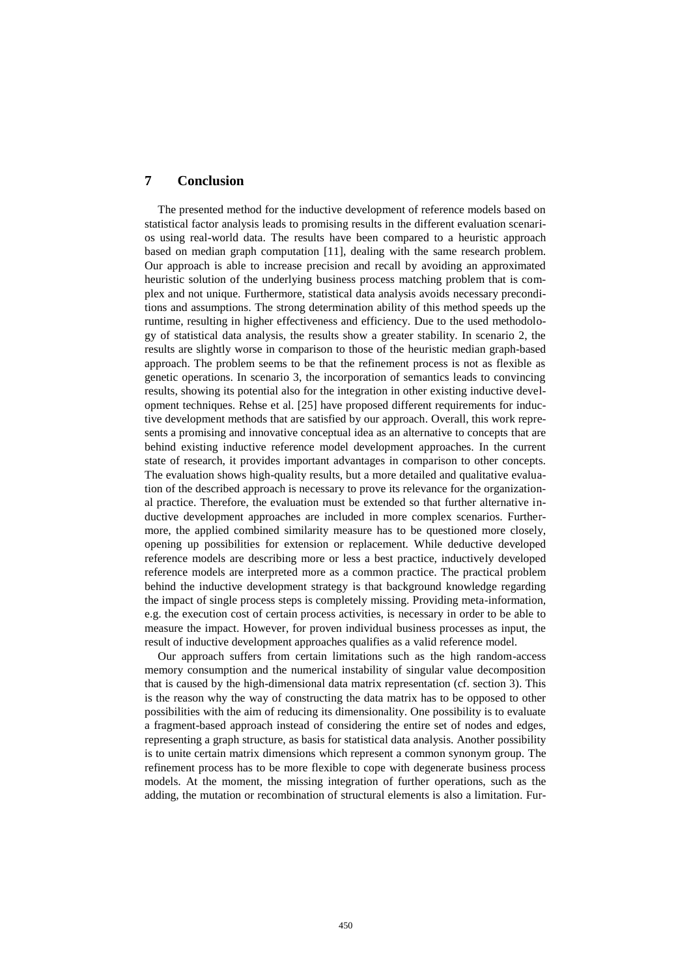# **7 Conclusion**

The presented method for the inductive development of reference models based on statistical factor analysis leads to promising results in the different evaluation scenarios using real-world data. The results have been compared to a heuristic approach based on median graph computation [\[11\]](#page-14-10), dealing with the same research problem. Our approach is able to increase precision and recall by avoiding an approximated heuristic solution of the underlying business process matching problem that is complex and not unique. Furthermore, statistical data analysis avoids necessary preconditions and assumptions. The strong determination ability of this method speeds up the runtime, resulting in higher effectiveness and efficiency. Due to the used methodology of statistical data analysis, the results show a greater stability. In scenario 2, the results are slightly worse in comparison to those of the heuristic median graph-based approach. The problem seems to be that the refinement process is not as flexible as genetic operations. In scenario 3, the incorporation of semantics leads to convincing results, showing its potential also for the integration in other existing inductive development techniques. Rehse et al. [\[25\]](#page-15-12) have proposed different requirements for inductive development methods that are satisfied by our approach. Overall, this work represents a promising and innovative conceptual idea as an alternative to concepts that are behind existing inductive reference model development approaches. In the current state of research, it provides important advantages in comparison to other concepts. The evaluation shows high-quality results, but a more detailed and qualitative evaluation of the described approach is necessary to prove its relevance for the organizational practice. Therefore, the evaluation must be extended so that further alternative inductive development approaches are included in more complex scenarios. Furthermore, the applied combined similarity measure has to be questioned more closely, opening up possibilities for extension or replacement. While deductive developed reference models are describing more or less a best practice, inductively developed reference models are interpreted more as a common practice. The practical problem behind the inductive development strategy is that background knowledge regarding the impact of single process steps is completely missing. Providing meta-information, e.g. the execution cost of certain process activities, is necessary in order to be able to measure the impact. However, for proven individual business processes as input, the result of inductive development approaches qualifies as a valid reference model.

Our approach suffers from certain limitations such as the high random-access memory consumption and the numerical instability of singular value decomposition that is caused by the high-dimensional data matrix representation (cf. section 3). This is the reason why the way of constructing the data matrix has to be opposed to other possibilities with the aim of reducing its dimensionality. One possibility is to evaluate a fragment-based approach instead of considering the entire set of nodes and edges, representing a graph structure, as basis for statistical data analysis. Another possibility is to unite certain matrix dimensions which represent a common synonym group. The refinement process has to be more flexible to cope with degenerate business process models. At the moment, the missing integration of further operations, such as the adding, the mutation or recombination of structural elements is also a limitation. Fur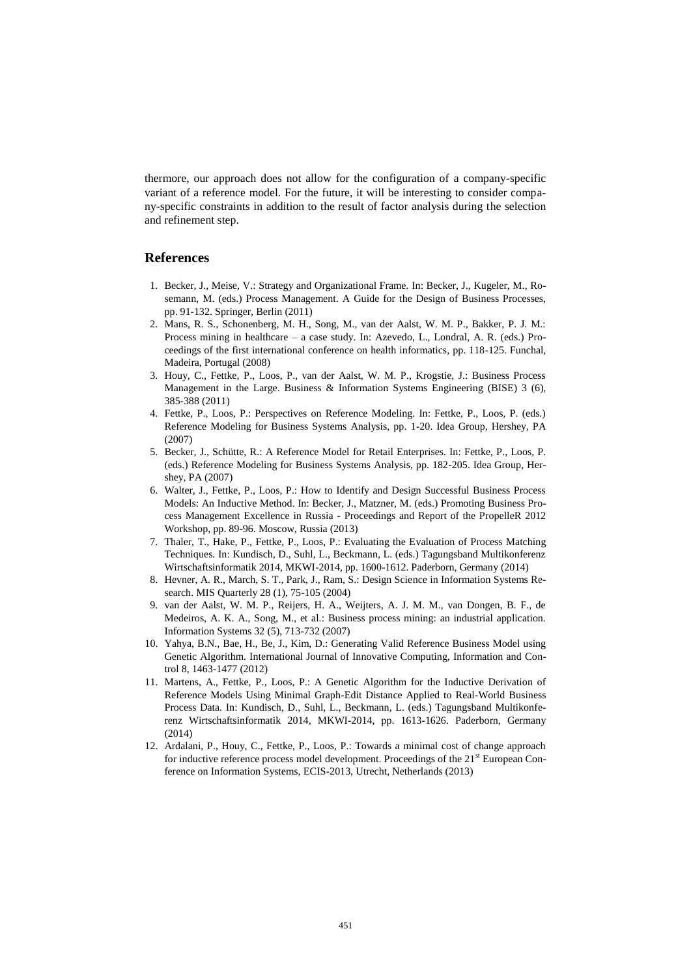thermore, our approach does not allow for the configuration of a company-specific variant of a reference model. For the future, it will be interesting to consider company-specific constraints in addition to the result of factor analysis during the selection and refinement step.

#### **References**

- <span id="page-14-0"></span>1. Becker, J., Meise, V.: Strategy and Organizational Frame. In: Becker, J., Kugeler, M., Rosemann, M. (eds.) Process Management. A Guide for the Design of Business Processes, pp. 91-132. Springer, Berlin (2011)
- <span id="page-14-1"></span>2. Mans, R. S., Schonenberg, M. H., Song, M., van der Aalst, W. M. P., Bakker, P. J. M.: Process mining in healthcare – a case study. In: Azevedo, L., Londral, A. R. (eds.) Proceedings of the first international conference on health informatics, pp. 118-125. Funchal, Madeira, Portugal (2008)
- <span id="page-14-2"></span>3. Houy, C., Fettke, P., Loos, P., van der Aalst, W. M. P., Krogstie, J.: Business Process Management in the Large. Business & Information Systems Engineering (BISE) 3 (6), 385-388 (2011)
- <span id="page-14-3"></span>4. Fettke, P., Loos, P.: Perspectives on Reference Modeling. In: Fettke, P., Loos, P. (eds.) Reference Modeling for Business Systems Analysis, pp. 1-20. Idea Group, Hershey, PA (2007)
- <span id="page-14-4"></span>5. Becker, J., Schütte, R.: A Reference Model for Retail Enterprises. In: Fettke, P., Loos, P. (eds.) Reference Modeling for Business Systems Analysis, pp. 182-205. Idea Group, Hershey, PA (2007)
- <span id="page-14-5"></span>6. Walter, J., Fettke, P., Loos, P.: How to Identify and Design Successful Business Process Models: An Inductive Method. In: Becker, J., Matzner, M. (eds.) Promoting Business Process Management Excellence in Russia - Proceedings and Report of the PropelleR 2012 Workshop, pp. 89-96. Moscow, Russia (2013)
- <span id="page-14-6"></span>7. Thaler, T., Hake, P., Fettke, P., Loos, P.: Evaluating the Evaluation of Process Matching Techniques. In: Kundisch, D., Suhl, L., Beckmann, L. (eds.) Tagungsband Multikonferenz Wirtschaftsinformatik 2014, MKWI-2014, pp. 1600-1612. Paderborn, Germany (2014)
- <span id="page-14-7"></span>8. Hevner, A. R., March, S. T., Park, J., Ram, S.: Design Science in Information Systems Research. MIS Quarterly 28 (1), 75-105 (2004)
- <span id="page-14-8"></span>9. van der Aalst, W. M. P., Reijers, H. A., Weijters, A. J. M. M., van Dongen, B. F., de Medeiros, A. K. A., Song, M., et al.: Business process mining: an industrial application. Information Systems 32 (5), 713-732 (2007)
- <span id="page-14-9"></span>10. Yahya, B.N., Bae, H., Be, J., Kim, D.: Generating Valid Reference Business Model using Genetic Algorithm. International Journal of Innovative Computing, Information and Control 8, 1463-1477 (2012)
- <span id="page-14-10"></span>11. Martens, A., Fettke, P., Loos, P.: A Genetic Algorithm for the Inductive Derivation of Reference Models Using Minimal Graph-Edit Distance Applied to Real-World Business Process Data. In: Kundisch, D., Suhl, L., Beckmann, L. (eds.) Tagungsband Multikonferenz Wirtschaftsinformatik 2014, MKWI-2014, pp. 1613-1626. Paderborn, Germany  $(2014)$
- <span id="page-14-11"></span>12. Ardalani, P., Houy, C., Fettke, P., Loos, P.: Towards a minimal cost of change approach for inductive reference process model development. Proceedings of the  $21<sup>st</sup>$  European Conference on Information Systems, ECIS-2013, Utrecht, Netherlands (2013)